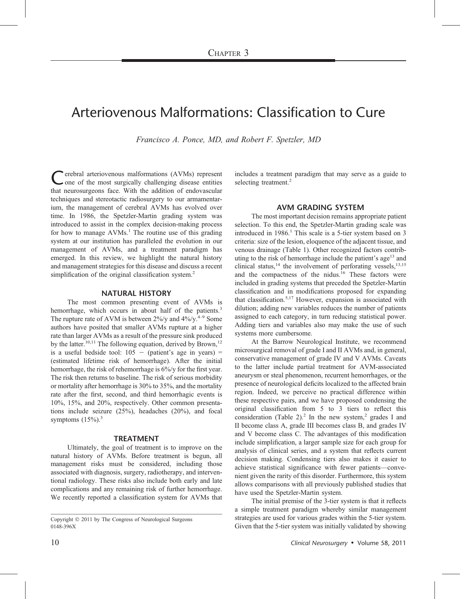# Arteriovenous Malformations: Classification to Cure

Francisco A. Ponce, MD, and Robert F. Spetzler, MD

Cerebral arteriovenous malformations (AVMs) represent<br>one of the most surgically challenging disease entities that neurosurgeons face. With the addition of endovascular techniques and stereotactic radiosurgery to our armamentarium, the management of cerebral AVMs has evolved over time. In 1986, the Spetzler-Martin grading system was introduced to assist in the complex decision-making process for how to manage  $AVMs<sup>1</sup>$ . The routine use of this grading system at our institution has paralleled the evolution in our management of AVMs, and a treatment paradigm has emerged. In this review, we highlight the natural history and management strategies for this disease and discuss a recent simplification of the original classification system.<sup>2</sup>

#### NATURAL HISTORY

The most common presenting event of AVMs is hemorrhage, which occurs in about half of the patients.<sup>3</sup> The rupture rate of AVM is between  $2\%/y$  and  $4\%/y$ .<sup>4–9</sup> Some authors have posited that smaller AVMs rupture at a higher rate than larger AVMs as a result of the pressure sink produced by the latter.<sup>10,11</sup> The following equation, derived by Brown,<sup>12</sup> is a useful bedside tool:  $105 - (patient's age in years) =$ (estimated lifetime risk of hemorrhage). After the initial hemorrhage, the risk of rehemorrhage is 6%/y for the first year. The risk then returns to baseline. The risk of serious morbidity or mortality after hemorrhage is 30% to 35%, and the mortality rate after the first, second, and third hemorrhagic events is 10%, 15%, and 20%, respectively. Other common presentations include seizure (25%), headaches (20%), and focal symptoms  $(15\%)$ <sup>3</sup>

#### TREATMENT

Ultimately, the goal of treatment is to improve on the natural history of AVMs. Before treatment is begun, all management risks must be considered, including those associated with diagnosis, surgery, radiotherapy, and interventional radiology. These risks also include both early and late complications and any remaining risk of further hemorrhage. We recently reported a classification system for AVMs that

Copyright  $\odot$  2011 by The Congress of Neurological Surgeons 0148-396X

includes a treatment paradigm that may serve as a guide to selecting treatment.<sup>2</sup>

#### AVM GRADING SYSTEM

The most important decision remains appropriate patient selection. To this end, the Spetzler-Martin grading scale was introduced in  $1986<sup>1</sup>$ . This scale is a 5-tier system based on 3 criteria: size of the lesion, eloquence of the adjacent tissue, and venous drainage (Table 1). Other recognized factors contributing to the risk of hemorrhage include the patient's age<sup>13</sup> and clinical status,<sup>14</sup> the involvement of perforating vessels,<sup>13,15</sup> and the compactness of the nidus.<sup>16</sup> These factors were included in grading systems that preceded the Spetzler-Martin classification and in modifications proposed for expanding that classification.5,17 However, expansion is associated with dilution; adding new variables reduces the number of patients assigned to each category, in turn reducing statistical power. Adding tiers and variables also may make the use of such systems more cumbersome.

At the Barrow Neurological Institute, we recommend microsurgical removal of grade I and II AVMs and, in general, conservative management of grade IV and V AVMs. Caveats to the latter include partial treatment for AVM-associated aneurysm or steal phenomenon, recurrent hemorrhages, or the presence of neurological deficits localized to the affected brain region. Indeed, we perceive no practical difference within these respective pairs, and we have proposed condensing the original classification from 5 to 3 tiers to reflect this consideration (Table 2).<sup>2</sup> In the new system,<sup>2</sup> grades I and II become class A, grade III becomes class B, and grades IV and V become class C. The advantages of this modification include simplification, a larger sample size for each group for analysis of clinical series, and a system that reflects current decision making. Condensing tiers also makes it easier to achieve statistical significance with fewer patients—convenient given the rarity of this disorder. Furthermore, this system allows comparisons with all previously published studies that have used the Spetzler-Martin system.

The initial premise of the 3-tier system is that it reflects a simple treatment paradigm whereby similar management strategies are used for various grades within the 5-tier system. Given that the 5-tier system was initially validated by showing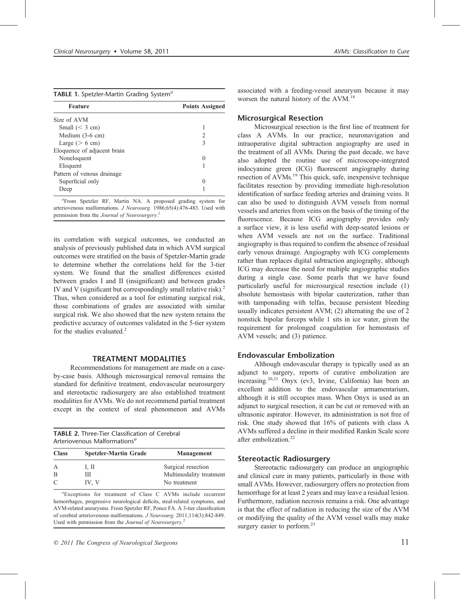|  |  | TABLE 1. Spetzler-Martin Grading System <sup>a</sup> |  |  |
|--|--|------------------------------------------------------|--|--|
|--|--|------------------------------------------------------|--|--|

| <b>Feature</b>              | <b>Points Assigned</b> |  |
|-----------------------------|------------------------|--|
| Size of AVM                 |                        |  |
| Small ( $<$ 3 cm)           |                        |  |
| Medium $(3-6 \text{ cm})$   | $\mathfrak{D}$         |  |
| Large ( $> 6$ cm)           | 3                      |  |
| Eloquence of adjacent brain |                        |  |
| Noneloquent                 |                        |  |
| Eloquent                    |                        |  |
| Pattern of venous drainage  |                        |  |
| Superficial only            |                        |  |
| Deep                        |                        |  |

a From Spetzler RF, Martin NA. A proposed grading system for arteriovenous malformations. J Neurosurg. 1986;65(4):476-483. Used with permission from the Journal of Neurosurgery.<sup>1</sup>

its correlation with surgical outcomes, we conducted an analysis of previously published data in which AVM surgical outcomes were stratified on the basis of Spetzler-Martin grade to determine whether the correlations held for the 3-tier system. We found that the smallest differences existed between grades I and II (insignificant) and between grades IV and V (significant but correspondingly small relative risk).<sup>2</sup> Thus, when considered as a tool for estimating surgical risk, those combinations of grades are associated with similar surgical risk. We also showed that the new system retains the predictive accuracy of outcomes validated in the 5-tier system for the studies evaluated. $2$ 

## TREATMENT MODALITIES

Recommendations for management are made on a caseby-case basis. Although microsurgical removal remains the standard for definitive treatment, endovascular neurosurgery and stereotactic radiosurgery are also established treatment modalities for AVMs. We do not recommend partial treatment except in the context of steal phenomenon and AVMs

| <b>TABLE 2.</b> Three-Tier Classification of Cerebral |  |  |  |  |
|-------------------------------------------------------|--|--|--|--|
| Arteriovenous Malformations <sup>a</sup>              |  |  |  |  |

| <b>Class</b> | <b>Spetzler-Martin Grade</b> | <b>Management</b>       |  |
|--------------|------------------------------|-------------------------|--|
| A            | I, II                        | Surgical resection      |  |
| B            | Ш                            | Multimodality treatment |  |
| C            | IV. V                        | No treatment            |  |

a Exceptions for treatment of Class C AVMs include recurrent hemorrhages, progressive neurological deficits, steal-related symptoms, and AVM-related aneurysms. From Spetzler RF, Ponce FA. A 3-tier classification of cerebral arteriovenous malformations. J Neurosurg. 2011;114(3):842-849. Used with permission from the Journal of Neurosurgery.<sup>2</sup>

associated with a feeding-vessel aneurysm because it may worsen the natural history of the AVM.<sup>18</sup>

#### Microsurgical Resection

Microsurgical resection is the first line of treatment for class A AVMs. In our practice, neuronavigation and intraoperative digital subtraction angiography are used in the treatment of all AVMs. During the past decade, we have also adopted the routine use of microscope-integrated indocyanine green (ICG) fluorescent angiography during resection of AVMs.<sup>19</sup> This quick, safe, inexpensive technique facilitates resection by providing immediate high-resolution identification of surface feeding arteries and draining veins. It can also be used to distinguish AVM vessels from normal vessels and arteries from veins on the basis of the timing of the fluorescence. Because ICG angiography provides only a surface view, it is less useful with deep-seated lesions or when AVM vessels are not on the surface. Traditional angiography is thus required to confirm the absence of residual early venous drainage. Angiography with ICG complements rather than replaces digital subtraction angiography, although ICG may decrease the need for multiple angiographic studies during a single case. Some pearls that we have found particularly useful for microsurgical resection include (1) absolute hemostasis with bipolar cauterization, rather than with tamponading with telfas, because persistent bleeding usually indicates persistent AVM; (2) alternating the use of 2 nonstick bipolar forceps while 1 sits in ice water, given the requirement for prolonged coagulation for hemostasis of AVM vessels; and (3) patience.

## Endovascular Embolization

Although endovascular therapy is typically used as an adjunct to surgery, reports of curative embolization are increasing.20,21 Onyx (ev3, Irvine, California) has been an excellent addition to the endovascular armamentarium, although it is still occupies mass. When Onyx is used as an adjunct to surgical resection, it can be cut or removed with an ultrasonic aspirator. However, its administration is not free of risk. One study showed that 16% of patients with class A AVMs suffered a decline in their modified Rankin Scale score after embolization.<sup>22</sup>

## Stereotactic Radiosurgery

Stereotactic radiosurgery can produce an angiographic and clinical cure in many patients, particularly in those with small AVMs. However, radiosurgery offers no protection from hemorrhage for at least 2 years and may leave a residual lesion. Furthermore, radiation necrosis remains a risk. One advantage is that the effect of radiation in reducing the size of the AVM or modifying the quality of the AVM vessel walls may make surgery easier to perform.<sup>23</sup>